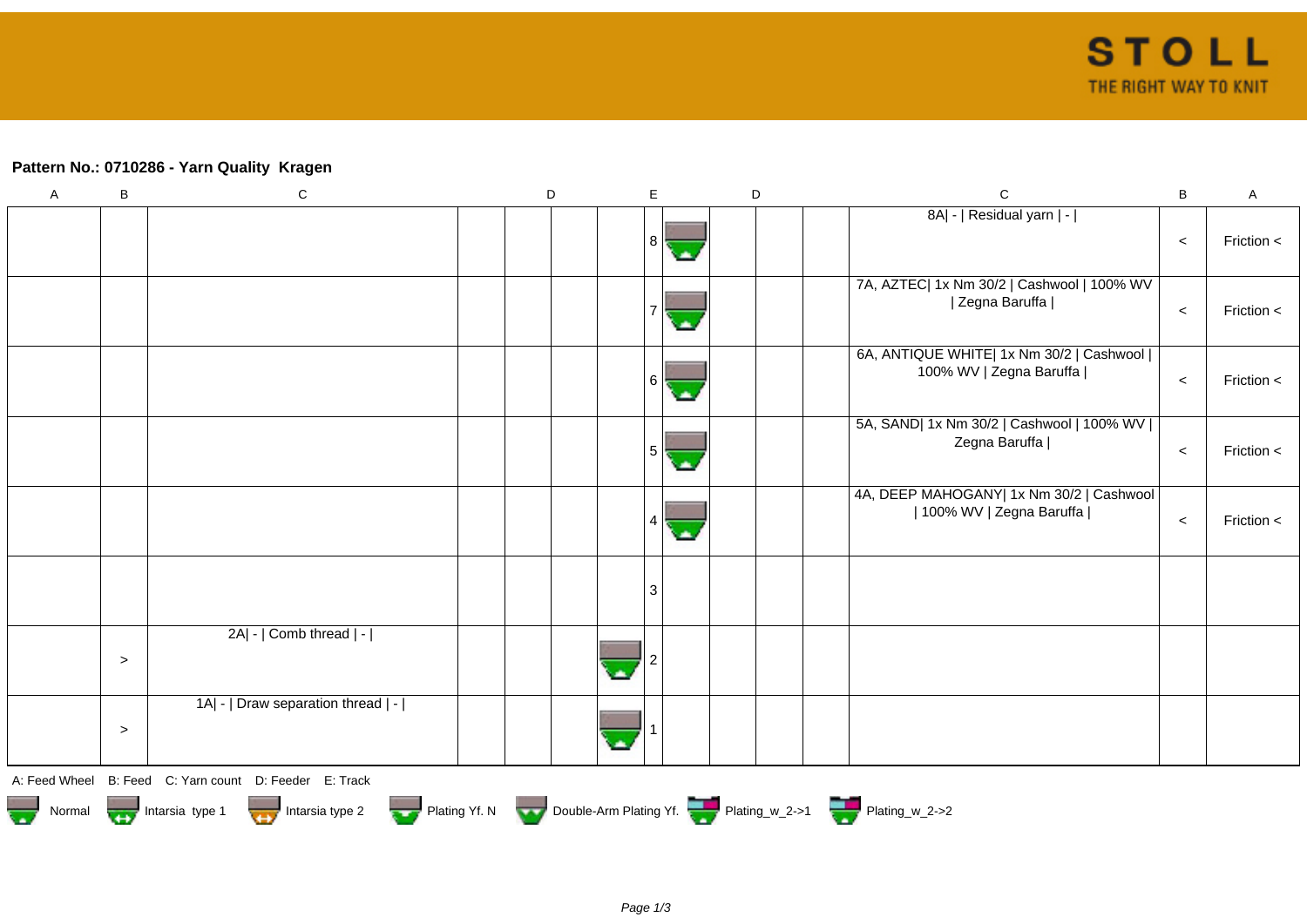## **Pattern No.: 0710286 - Yarn Quality Kragen**

| $\mathsf A$ | $\sf B$ | ${\bf C}$                                                                          | D | $\mathsf E$ | $\mathsf D$ | $\mathbf C$                                                           | $\sf B$ | $\sf A$        |
|-------------|---------|------------------------------------------------------------------------------------|---|-------------|-------------|-----------------------------------------------------------------------|---------|----------------|
|             |         |                                                                                    |   | 8           |             | 8A  -   Residual yarn   -                                             | $\prec$ | Friction <     |
|             |         |                                                                                    |   |             |             | 7A, AZTEC  1x Nm 30/2   Cashwool   100% WV<br>  Zegna Baruffa         | $\,<$   | Friction <     |
|             |         |                                                                                    |   | $6 \mid$    |             | 6A, ANTIQUE WHITE  1x Nm 30/2   Cashwool  <br>100% WV   Zegna Baruffa | $\prec$ | Friction <     |
|             |         |                                                                                    |   | 5           |             | 5A, SAND  1x Nm 30/2   Cashwool   100% WV  <br>Zegna Baruffa          | $\prec$ | Friction $\lt$ |
|             |         |                                                                                    |   |             |             | 4A, DEEP MAHOGANY  1x Nm 30/2   Cashwool<br>  100% WV   Zegna Baruffa | $\,<$   | Friction <     |
|             |         |                                                                                    |   | 3           |             |                                                                       |         |                |
|             | $\geq$  | 2A  -   Comb thread   -                                                            |   |             |             |                                                                       |         |                |
|             | $\geq$  | 1A  -   Draw separation thread   -                                                 |   |             |             |                                                                       |         |                |
|             |         | A: Feed Wheel B: Feed C: Yarn count D: Feeder E: Track                             |   |             |             |                                                                       |         |                |
|             |         | Normal Mormal Intarsia type 1 Intarsia type 2 Plating Yf. N Double-Arm Plating Yf. |   |             |             |                                                                       |         |                |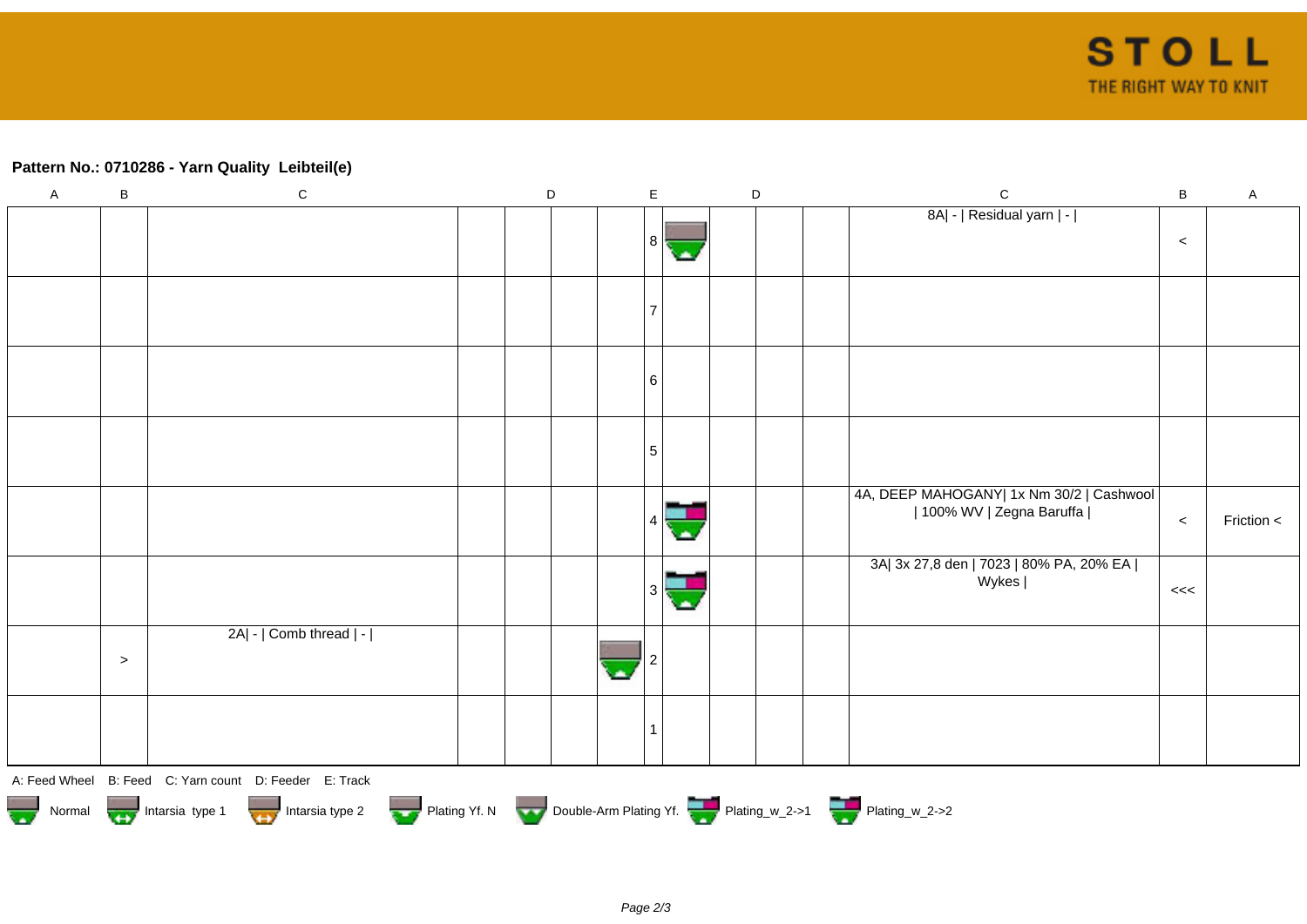## **Pattern No.: 0710286 - Yarn Quality Leibteil(e)**

| $\mathsf A$                                                                      | $\sf B$ | ${\bf C}$                                              |  | D |  | $\mathsf E$ |  | D |  |  | $\mathsf C$                                                             | $\sf B$ | $\mathsf{A}$ |
|----------------------------------------------------------------------------------|---------|--------------------------------------------------------|--|---|--|-------------|--|---|--|--|-------------------------------------------------------------------------|---------|--------------|
|                                                                                  |         |                                                        |  |   |  |             |  |   |  |  | 8A  -   Residual yarn   -                                               |         |              |
|                                                                                  |         |                                                        |  |   |  | 8           |  |   |  |  |                                                                         | $\,<$   |              |
|                                                                                  |         |                                                        |  |   |  |             |  |   |  |  |                                                                         |         |              |
|                                                                                  |         |                                                        |  |   |  |             |  |   |  |  |                                                                         |         |              |
|                                                                                  |         |                                                        |  |   |  |             |  |   |  |  |                                                                         |         |              |
|                                                                                  |         |                                                        |  |   |  | 6           |  |   |  |  |                                                                         |         |              |
|                                                                                  |         |                                                        |  |   |  | 5           |  |   |  |  |                                                                         |         |              |
|                                                                                  |         |                                                        |  |   |  |             |  |   |  |  |                                                                         |         |              |
|                                                                                  |         |                                                        |  |   |  |             |  |   |  |  | 4A, DEEP MAHOGANY  1x Nm 30/2   Cashwool  <br>  100% WV   Zegna Baruffa |         |              |
|                                                                                  |         |                                                        |  |   |  |             |  |   |  |  |                                                                         | $\,<\,$ | Friction <   |
|                                                                                  |         |                                                        |  |   |  |             |  |   |  |  | 3A  3x 27,8 den   7023   80% PA, 20% EA  <br>Wykes                      |         |              |
|                                                                                  |         |                                                        |  |   |  |             |  |   |  |  |                                                                         | <<      |              |
|                                                                                  |         | 2A  -   Comb thread   -                                |  |   |  |             |  |   |  |  |                                                                         |         |              |
|                                                                                  | $\,>$   |                                                        |  |   |  |             |  |   |  |  |                                                                         |         |              |
|                                                                                  |         |                                                        |  |   |  |             |  |   |  |  |                                                                         |         |              |
|                                                                                  |         |                                                        |  |   |  |             |  |   |  |  |                                                                         |         |              |
|                                                                                  |         | A: Feed Wheel B: Feed C: Yarn count D: Feeder E: Track |  |   |  |             |  |   |  |  |                                                                         |         |              |
| Normal More Intarsia type 1 Intarsia type 2 Plating Yf. N Double-Arm Plating Yf. |         |                                                        |  |   |  |             |  |   |  |  |                                                                         |         |              |